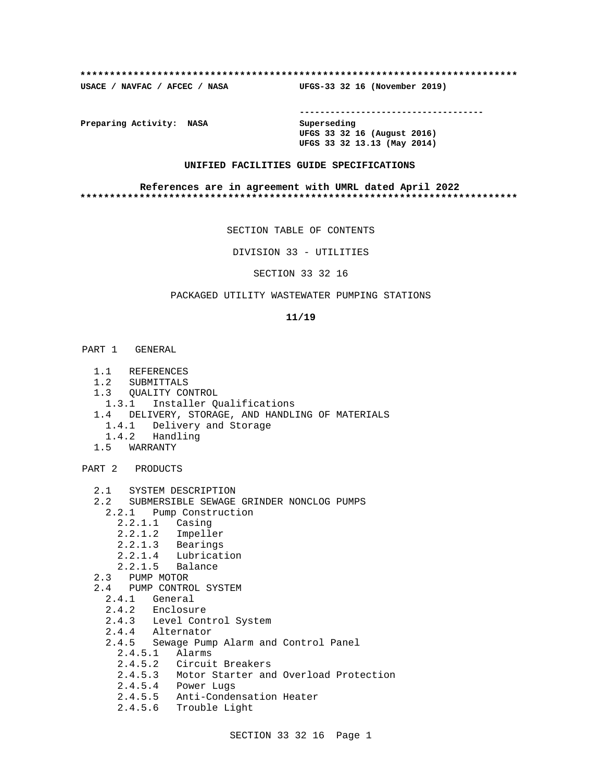### **\*\*\*\*\*\*\*\*\*\*\*\*\*\*\*\*\*\*\*\*\*\*\*\*\*\*\*\*\*\*\*\*\*\*\*\*\*\*\*\*\*\*\*\*\*\*\*\*\*\*\*\*\*\*\*\*\*\*\*\*\*\*\*\*\*\*\*\*\*\*\*\*\*\***

**USACE / NAVFAC / AFCEC / NASA UFGS-33 32 16 (November 2019)**

**------------------------------------**

**Preparing Activity: NASA Superseding**

**UFGS 33 32 16 (August 2016) UFGS 33 32 13.13 (May 2014)**

# **UNIFIED FACILITIES GUIDE SPECIFICATIONS**

## **References are in agreement with UMRL dated April 2022 \*\*\*\*\*\*\*\*\*\*\*\*\*\*\*\*\*\*\*\*\*\*\*\*\*\*\*\*\*\*\*\*\*\*\*\*\*\*\*\*\*\*\*\*\*\*\*\*\*\*\*\*\*\*\*\*\*\*\*\*\*\*\*\*\*\*\*\*\*\*\*\*\*\***

SECTION TABLE OF CONTENTS

DIVISION 33 - UTILITIES

SECTION 33 32 16

# PACKAGED UTILITY WASTEWATER PUMPING STATIONS

## **11/19**

- PART 1 GENERAL
	- 1.1 REFERENCES
	- 1.2 SUBMITTALS
	- 1.3 QUALITY CONTROL
	- 1.3.1 Installer Qualifications
	- 1.4 DELIVERY, STORAGE, AND HANDLING OF MATERIALS
		- 1.4.1 Delivery and Storage
	- 1.4.2 Handling
	- 1.5 WARRANTY

PART 2 PRODUCTS

- 2.1 SYSTEM DESCRIPTION
- 2.2 SUBMERSIBLE SEWAGE GRINDER NONCLOG PUMPS
	- 2.2.1 Pump Construction
		- 2.2.1.1 Casing
		- 2.2.1.2 Impeller
		- 2.2.1.3 Bearings
		- 2.2.1.4 Lubrication
		- 2.2.1.5 Balance
- 2.3 PUMP MOTOR
- 2.4 PUMP CONTROL SYSTEM
	- 2.4.1 General
	- 2.4.2 Enclosure
	- 2.4.3 Level Control System
	- 2.4.4 Alternator
	- 2.4.5 Sewage Pump Alarm and Control Panel
		- 2.4.5.1 Alarms
		- 2.4.5.2 Circuit Breakers
		- 2.4.5.3 Motor Starter and Overload Protection
- 2.4.5.4 Power Lugs
- 2.4.5.5 Anti-Condensation Heater
	- 2.4.5.6 Trouble Light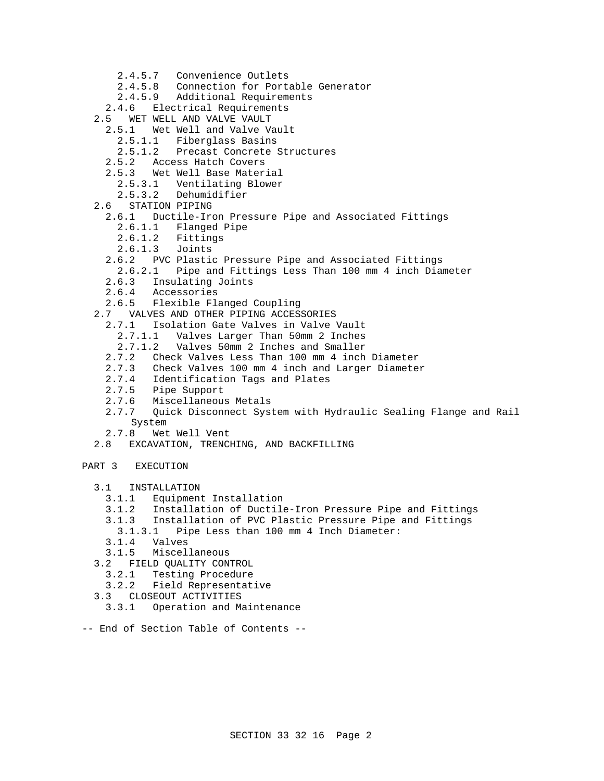- 2.4.5.7 Convenience Outlets
- 2.4.5.8 Connection for Portable Generator
- 2.4.5.9 Additional Requirements
- 2.4.6 Electrical Requirements
- 2.5 WET WELL AND VALVE VAULT
	- 2.5.1 Wet Well and Valve Vault
	- 2.5.1.1 Fiberglass Basins
	- 2.5.1.2 Precast Concrete Structures
	- 2.5.2 Access Hatch Covers
	- 2.5.3 Wet Well Base Material
		- 2.5.3.1 Ventilating Blower
		- 2.5.3.2 Dehumidifier
- 2.6 STATION PIPING
	- 2.6.1 Ductile-Iron Pressure Pipe and Associated Fittings
		- 2.6.1.1 Flanged Pipe
		- 2.6.1.2 Fittings
		- 2.6.1.3 Joints
	- 2.6.2 PVC Plastic Pressure Pipe and Associated Fittings
	- 2.6.2.1 Pipe and Fittings Less Than 100 mm 4 inch Diameter
	- 2.6.3 Insulating Joints
	- 2.6.4 Accessories<br>2.6.5 Flexible Fla
	- Flexible Flanged Coupling
- 2.7 VALVES AND OTHER PIPING ACCESSORIES
	- 2.7.1 Isolation Gate Valves in Valve Vault
		- 2.7.1.1 Valves Larger Than 50mm 2 Inches
		- 2.7.1.2 Valves 50mm 2 Inches and Smaller
	- 2.7.2 Check Valves Less Than 100 mm 4 inch Diameter
	- Check Valves 100 mm 4 inch and Larger Diameter
	- 2.7.4 Identification Tags and Plates
	- 2.7.5 Pipe Support
	- 2.7.6 Miscellaneous Metals
	- 2.7.7 Quick Disconnect System with Hydraulic Sealing Flange and Rail System
	- 2.7.8 Wet Well Vent
- 2.8 EXCAVATION, TRENCHING, AND BACKFILLING
- PART 3 EXECUTION
	- 3.1 INSTALLATION
		- 3.1.1 Equipment Installation
		- 3.1.2 Installation of Ductile-Iron Pressure Pipe and Fittings
		- 3.1.3 Installation of PVC Plastic Pressure Pipe and Fittings
		- 3.1.3.1 Pipe Less than 100 mm 4 Inch Diameter:
		-
		- 3.1.4 Valves 3.1.5 Miscellaneous
	- 3.2 FIELD QUALITY CONTROL
		- 3.2.1 Testing Procedure
		- 3.2.2 Field Representative
	- 3.3 CLOSEOUT ACTIVITIES
		- 3.3.1 Operation and Maintenance
- -- End of Section Table of Contents --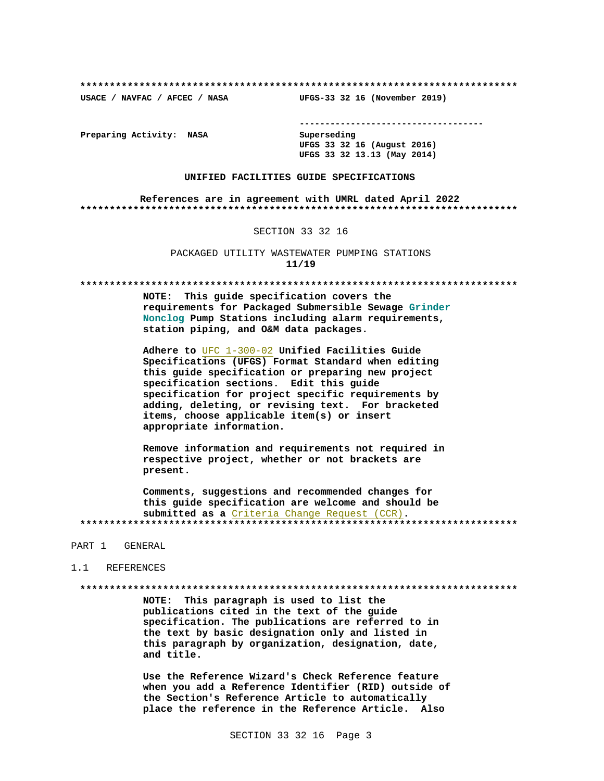USACE / NAVFAC / AFCEC / NASA

--------------------------------------

Preparing Activity: NASA

Superseding UFGS 33 32 16 (August 2016) UFGS 33 32 13.13 (May 2014)

UFGS-33 32 16 (November 2019)

## UNIFIED FACILITIES GUIDE SPECIFICATIONS

References are in agreement with UMRL dated April 2022 

### SECTION 33 32 16

PACKAGED UTILITY WASTEWATER PUMPING STATIONS  $11/19$ 

NOTE: This quide specification covers the requirements for Packaged Submersible Sewage Grinder Nonclog Pump Stations including alarm requirements, station piping, and O&M data packages.

Adhere to UFC 1-300-02 Unified Facilities Guide Specifications (UFGS) Format Standard when editing this guide specification or preparing new project specification sections. Edit this guide specification for project specific requirements by adding, deleting, or revising text. For bracketed items, choose applicable item(s) or insert appropriate information.

Remove information and requirements not required in respective project, whether or not brackets are present.

Comments, suggestions and recommended changes for this guide specification are welcome and should be submitted as a Criteria Change Request (CCR). 

### PART 1 GENERAL

## 1.1 REFERENCES

NOTE: This paragraph is used to list the publications cited in the text of the guide specification. The publications are referred to in the text by basic designation only and listed in this paragraph by organization, designation, date, and title.

Use the Reference Wizard's Check Reference feature when you add a Reference Identifier (RID) outside of the Section's Reference Article to automatically place the reference in the Reference Article. Also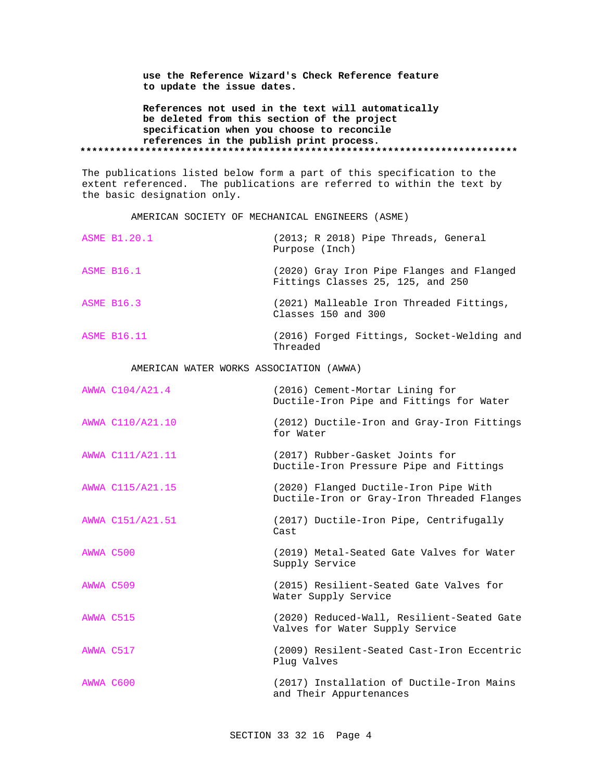**use the Reference Wizard's Check Reference feature to update the issue dates.**

**References not used in the text will automatically be deleted from this section of the project specification when you choose to reconcile references in the publish print process. \*\*\*\*\*\*\*\*\*\*\*\*\*\*\*\*\*\*\*\*\*\*\*\*\*\*\*\*\*\*\*\*\*\*\*\*\*\*\*\*\*\*\*\*\*\*\*\*\*\*\*\*\*\*\*\*\*\*\*\*\*\*\*\*\*\*\*\*\*\*\*\*\*\***

The publications listed below form a part of this specification to the extent referenced. The publications are referred to within the text by the basic designation only.

AMERICAN SOCIETY OF MECHANICAL ENGINEERS (ASME)

| <b>ASME B1.20.1</b> | $(2013; R 2018)$ Pipe Threads, General<br>Purpose (Inch)                       |
|---------------------|--------------------------------------------------------------------------------|
| <b>ASME B16.1</b>   | (2020) Gray Iron Pipe Flanges and Flanged<br>Fittings Classes 25, 125, and 250 |
| <b>ASME B16.3</b>   | (2021) Malleable Iron Threaded Fittings,<br>Classes 150 and 300                |
| <b>ASME B16.11</b>  | (2016) Forged Fittings, Socket-Welding and                                     |

Threaded

# AMERICAN WATER WORKS ASSOCIATION (AWWA)

|           | AWWA C104/A21.4  | (2016) Cement-Mortar Lining for<br>Ductile-Iron Pipe and Fittings for Water         |
|-----------|------------------|-------------------------------------------------------------------------------------|
|           | AWWA C110/A21.10 | (2012) Ductile-Iron and Gray-Iron Fittings<br>for Water                             |
|           | AWWA C111/A21.11 | (2017) Rubber-Gasket Joints for<br>Ductile-Iron Pressure Pipe and Fittings          |
|           | AWWA C115/A21.15 | (2020) Flanged Ductile-Iron Pipe With<br>Ductile-Iron or Gray-Iron Threaded Flanges |
|           | AWWA C151/A21.51 | (2017) Ductile-Iron Pipe, Centrifugally<br>Cast                                     |
| AWWA C500 |                  | (2019) Metal-Seated Gate Valves for Water<br>Supply Service                         |
| AWWA C509 |                  | (2015) Resilient-Seated Gate Valves for<br>Water Supply Service                     |
| AWWA C515 |                  | (2020) Reduced-Wall, Resilient-Seated Gate<br>Valves for Water Supply Service       |
| AWWA C517 |                  | (2009) Resilent-Seated Cast-Iron Eccentric<br>Plug Valves                           |
| AWWA C600 |                  | (2017) Installation of Ductile-Iron Mains<br>and Their Appurtenances                |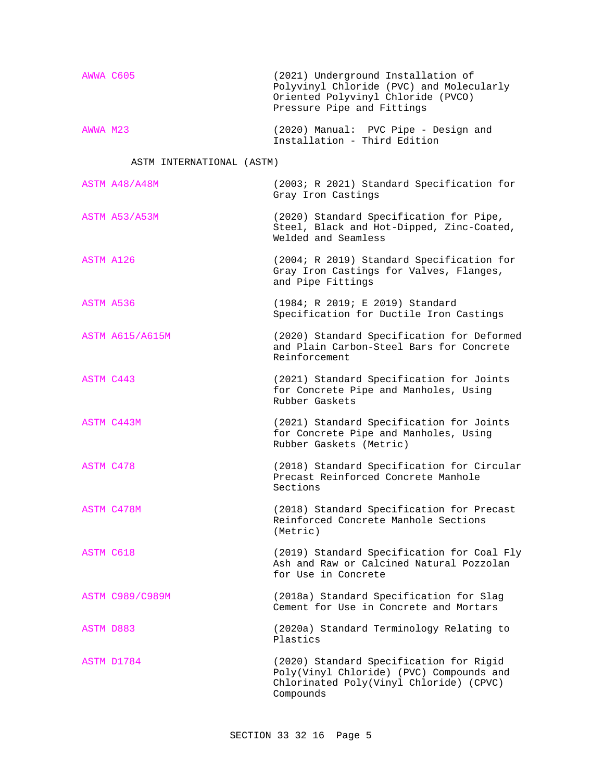| AWWA C605 | (2021) Underground Installation of<br>Polyvinyl Chloride (PVC) and Molecularly<br>Oriented Polyvinyl Chloride (PVCO)<br>Pressure Pipe and Fittings |
|-----------|----------------------------------------------------------------------------------------------------------------------------------------------------|
| AWWA M23  | (2020) Manual: PVC Pipe - Design and<br>Installation - Third Edition                                                                               |

# ASTM INTERNATIONAL (ASTM)

|           | ASTM A48/A48M          | (2003; R 2021) Standard Specification for<br>Gray Iron Castings                                                                             |
|-----------|------------------------|---------------------------------------------------------------------------------------------------------------------------------------------|
|           | ASTM A53/A53M          | (2020) Standard Specification for Pipe,<br>Steel, Black and Hot-Dipped, Zinc-Coated,<br>Welded and Seamless                                 |
| ASTM A126 |                        | (2004; R 2019) Standard Specification for<br>Gray Iron Castings for Valves, Flanges,<br>and Pipe Fittings                                   |
| ASTM A536 |                        | (1984; R 2019; E 2019) Standard<br>Specification for Ductile Iron Castings                                                                  |
|           | <b>ASTM A615/A615M</b> | (2020) Standard Specification for Deformed<br>and Plain Carbon-Steel Bars for Concrete<br>Reinforcement                                     |
| ASTM C443 |                        | (2021) Standard Specification for Joints<br>for Concrete Pipe and Manholes, Using<br>Rubber Gaskets                                         |
|           | ASTM C443M             | (2021) Standard Specification for Joints<br>for Concrete Pipe and Manholes, Using<br>Rubber Gaskets (Metric)                                |
| ASTM C478 |                        | (2018) Standard Specification for Circular<br>Precast Reinforced Concrete Manhole<br>Sections                                               |
|           | ASTM C478M             | (2018) Standard Specification for Precast<br>Reinforced Concrete Manhole Sections<br>(Metric)                                               |
| ASTM C618 |                        | (2019) Standard Specification for Coal Fly<br>Ash and Raw or Calcined Natural Pozzolan<br>for Use in Concrete                               |
|           | <b>ASTM C989/C989M</b> | (2018a) Standard Specification for Slag<br>Cement for Use in Concrete and Mortars                                                           |
| ASTM D883 |                        | (2020a) Standard Terminology Relating to<br>Plastics                                                                                        |
|           | ASTM D1784             | (2020) Standard Specification for Rigid<br>Poly(Vinyl Chloride) (PVC) Compounds and<br>Chlorinated Poly(Vinyl Chloride) (CPVC)<br>Compounds |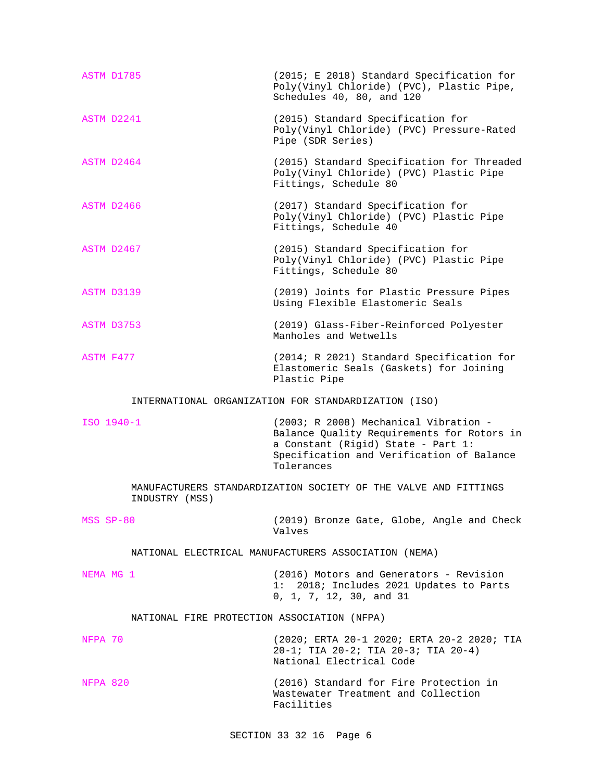| ASTM D1785 |                                             | (2015; E 2018) Standard Specification for<br>Poly(Vinyl Chloride) (PVC), Plastic Pipe,<br>Schedules 40, 80, and 120                                                                  |
|------------|---------------------------------------------|--------------------------------------------------------------------------------------------------------------------------------------------------------------------------------------|
| ASTM D2241 |                                             | (2015) Standard Specification for<br>Poly(Vinyl Chloride) (PVC) Pressure-Rated<br>Pipe (SDR Series)                                                                                  |
| ASTM D2464 |                                             | (2015) Standard Specification for Threaded<br>Poly(Vinyl Chloride) (PVC) Plastic Pipe<br>Fittings, Schedule 80                                                                       |
| ASTM D2466 |                                             | (2017) Standard Specification for<br>Poly(Vinyl Chloride) (PVC) Plastic Pipe<br>Fittings, Schedule 40                                                                                |
| ASTM D2467 |                                             | (2015) Standard Specification for<br>Poly(Vinyl Chloride) (PVC) Plastic Pipe<br>Fittings, Schedule 80                                                                                |
| ASTM D3139 |                                             | (2019) Joints for Plastic Pressure Pipes<br>Using Flexible Elastomeric Seals                                                                                                         |
| ASTM D3753 |                                             | (2019) Glass-Fiber-Reinforced Polyester<br>Manholes and Wetwells                                                                                                                     |
| ASTM F477  |                                             | (2014; R 2021) Standard Specification for<br>Elastomeric Seals (Gaskets) for Joining<br>Plastic Pipe                                                                                 |
|            |                                             | INTERNATIONAL ORGANIZATION FOR STANDARDIZATION (ISO)                                                                                                                                 |
| ISO 1940-1 |                                             | (2003; R 2008) Mechanical Vibration -<br>Balance Quality Requirements for Rotors in<br>a Constant (Rigid) State - Part 1:<br>Specification and Verification of Balance<br>Tolerances |
|            | INDUSTRY (MSS)                              | MANUFACTURERS STANDARDIZATION SOCIETY OF THE VALVE AND FITTINGS                                                                                                                      |
| MSS SP-80  |                                             | (2019) Bronze Gate, Globe, Angle and Check<br>Valves                                                                                                                                 |
|            |                                             | NATIONAL ELECTRICAL MANUFACTURERS ASSOCIATION (NEMA)                                                                                                                                 |
| NEMA MG 1  |                                             | (2016) Motors and Generators - Revision<br>1: 2018; Includes 2021 Updates to Parts<br>0, 1, 7, 12, 30, and 31                                                                        |
|            | NATIONAL FIRE PROTECTION ASSOCIATION (NFPA) |                                                                                                                                                                                      |
| NFPA 70    |                                             | (2020; ERTA 20-1 2020; ERTA 20-2 2020; TIA<br>$20-1;$ TIA $20-2;$ TIA $20-3;$ TIA $20-4)$<br>National Electrical Code                                                                |
|            |                                             |                                                                                                                                                                                      |

NFPA 820 (2016) Standard for Fire Protection in Wastewater Treatment and Collection Facilities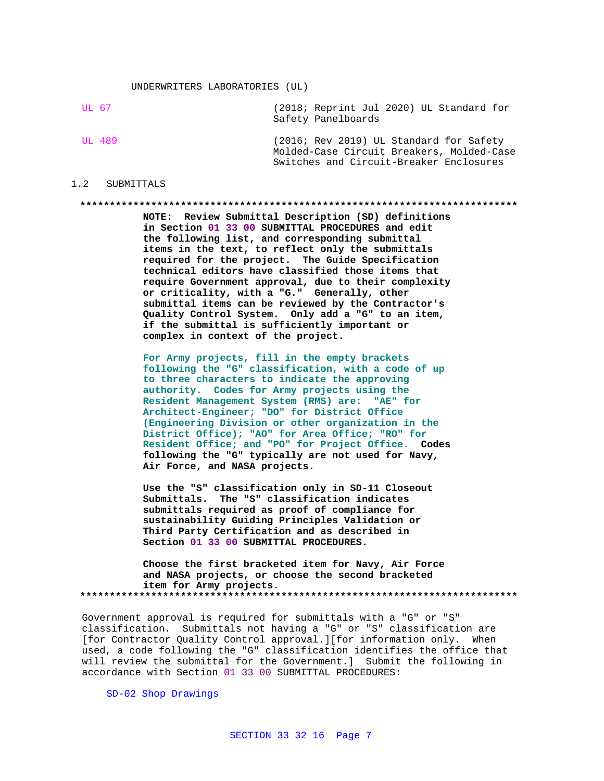UL 67 (2018; Reprint Jul 2020) UL Standard for Safety Panelboards

UL 489 (2016; Rev 2019) UL Standard for Safety Molded-Case Circuit Breakers, Molded-Case Switches and Circuit-Breaker Enclosures

## 1.2 SUBMITTALS

### **\*\*\*\*\*\*\*\*\*\*\*\*\*\*\*\*\*\*\*\*\*\*\*\*\*\*\*\*\*\*\*\*\*\*\*\*\*\*\*\*\*\*\*\*\*\*\*\*\*\*\*\*\*\*\*\*\*\*\*\*\*\*\*\*\*\*\*\*\*\*\*\*\*\***

**NOTE: Review Submittal Description (SD) definitions in Section 01 33 00 SUBMITTAL PROCEDURES and edit the following list, and corresponding submittal items in the text, to reflect only the submittals required for the project. The Guide Specification technical editors have classified those items that require Government approval, due to their complexity or criticality, with a "G." Generally, other submittal items can be reviewed by the Contractor's Quality Control System. Only add a "G" to an item, if the submittal is sufficiently important or complex in context of the project.**

**For Army projects, fill in the empty brackets following the "G" classification, with a code of up to three characters to indicate the approving authority. Codes for Army projects using the Resident Management System (RMS) are: "AE" for Architect-Engineer; "DO" for District Office (Engineering Division or other organization in the District Office); "AO" for Area Office; "RO" for Resident Office; and "PO" for Project Office. Codes following the "G" typically are not used for Navy, Air Force, and NASA projects.**

**Use the "S" classification only in SD-11 Closeout Submittals. The "S" classification indicates submittals required as proof of compliance for sustainability Guiding Principles Validation or Third Party Certification and as described in Section 01 33 00 SUBMITTAL PROCEDURES.**

**Choose the first bracketed item for Navy, Air Force and NASA projects, or choose the second bracketed item for Army projects. \*\*\*\*\*\*\*\*\*\*\*\*\*\*\*\*\*\*\*\*\*\*\*\*\*\*\*\*\*\*\*\*\*\*\*\*\*\*\*\*\*\*\*\*\*\*\*\*\*\*\*\*\*\*\*\*\*\*\*\*\*\*\*\*\*\*\*\*\*\*\*\*\*\***

Government approval is required for submittals with a "G" or "S" classification. Submittals not having a "G" or "S" classification are [for Contractor Quality Control approval.][for information only. When used, a code following the "G" classification identifies the office that will review the submittal for the Government.] Submit the following in accordance with Section 01 33 00 SUBMITTAL PROCEDURES:

SD-02 Shop Drawings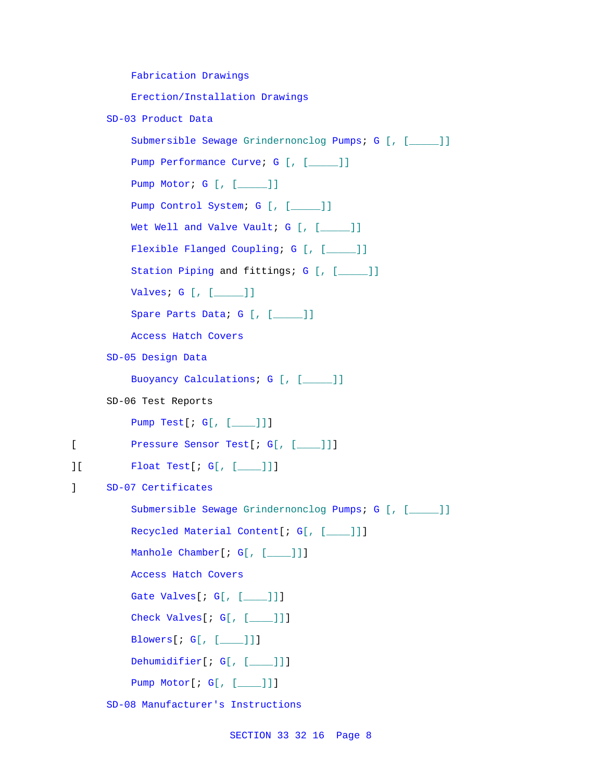```
Fabrication Drawings
         Erection/Installation Drawings
     SD-03 Product Data
          Submersible Sewage Grindernonclog Pumps; G [, [_____]]
         Pump Performance Curve; G [, [____]]
         Pump Motor; G [, [_____]]
         Pump Control System; G [, [_____]]
         Wet Well and Valve Vault; G [, [____]]
         Flexible Flanged Coupling; G [, [____]]
         Station Piping and fittings; G [, [____]]
         Valves; G [, [_____]]
         Spare Parts Data; G [, [____]]
         Access Hatch Covers
     SD-05 Design Data
         Buoyancy Calculations; G [, [_____]]
     SD-06 Test Reports
         Pump Test[; G[, [____]]]
[ Pressure Sensor Test[; G[, [____]]]
][ Float Test[; G[, [____]]]
] SD-07 Certificates
         Submersible Sewage Grindernonclog Pumps; G [, [_____]]
         Recycled Material Content[; G[, [____]]]
         Manhole Chamber[; G[, [___]]]
         Access Hatch Covers
         Gate Valves[; G[, [____]]]
         Check Valves[; G[, [____]]]
         Blowers[; G[, [____]]]
         Dehumidifier[; G[, [___]]]
         Pump Motor[; G[, [____]]]
```
SD-08 Manufacturer's Instructions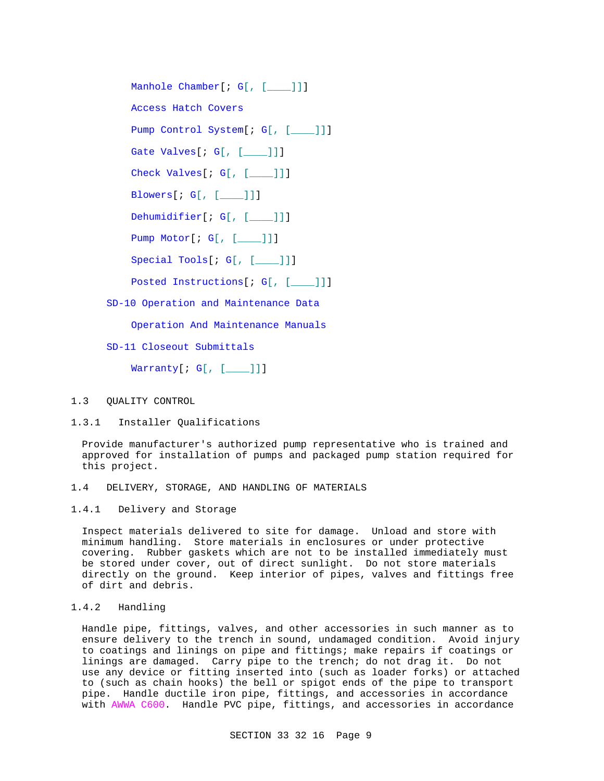Manhole Chamber[; G[, [ ]]] Access Hatch Covers Pump Control System[; G[, [\_\_\_\_]]] Gate Valves[; G[, [ ]]] Check Valves[; G[, [\_\_\_\_]]] Blowers[; G[, [\_\_\_\_]]] Dehumidifier[; G[, [ \_\_\_\_]]] Pump Motor[; G[, [\_\_\_\_]]] Special Tools[; G[, [\_\_\_\_]]] Posted Instructions[; G[, [\_\_\_]]] SD-10 Operation and Maintenance Data

Operation And Maintenance Manuals

SD-11 Closeout Submittals

Warranty[ $; G[, [-1, 1]]$ ]

# 1.3 QUALITY CONTROL

1.3.1 Installer Qualifications

Provide manufacturer's authorized pump representative who is trained and approved for installation of pumps and packaged pump station required for this project.

- 1.4 DELIVERY, STORAGE, AND HANDLING OF MATERIALS
- 1.4.1 Delivery and Storage

Inspect materials delivered to site for damage. Unload and store with minimum handling. Store materials in enclosures or under protective covering. Rubber gaskets which are not to be installed immediately must be stored under cover, out of direct sunlight. Do not store materials directly on the ground. Keep interior of pipes, valves and fittings free of dirt and debris.

# 1.4.2 Handling

Handle pipe, fittings, valves, and other accessories in such manner as to ensure delivery to the trench in sound, undamaged condition. Avoid injury to coatings and linings on pipe and fittings; make repairs if coatings or linings are damaged. Carry pipe to the trench; do not drag it. Do not use any device or fitting inserted into (such as loader forks) or attached to (such as chain hooks) the bell or spigot ends of the pipe to transport pipe. Handle ductile iron pipe, fittings, and accessories in accordance with AWWA C600. Handle PVC pipe, fittings, and accessories in accordance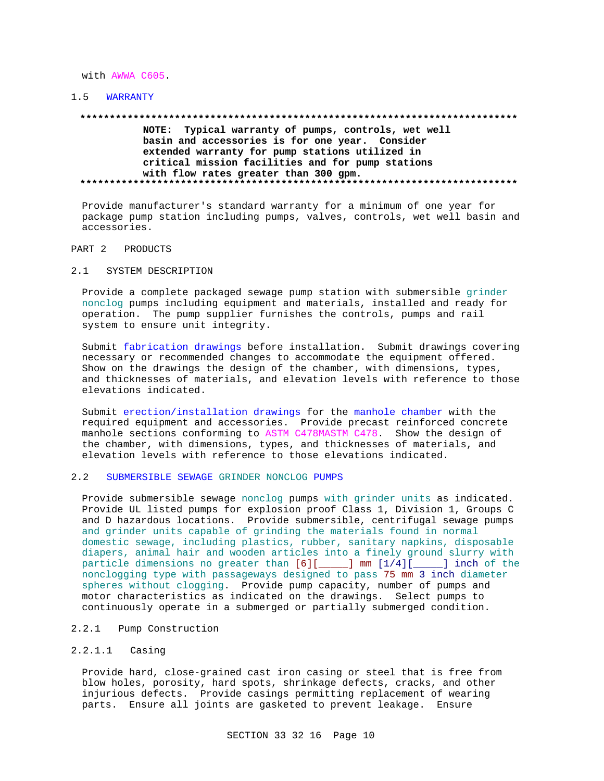### with AWWA C605.

# 1.5 WARRANTY

# **\*\*\*\*\*\*\*\*\*\*\*\*\*\*\*\*\*\*\*\*\*\*\*\*\*\*\*\*\*\*\*\*\*\*\*\*\*\*\*\*\*\*\*\*\*\*\*\*\*\*\*\*\*\*\*\*\*\*\*\*\*\*\*\*\*\*\*\*\*\*\*\*\*\***

# **NOTE: Typical warranty of pumps, controls, wet well basin and accessories is for one year. Consider extended warranty for pump stations utilized in critical mission facilities and for pump stations with flow rates greater than 300 gpm. \*\*\*\*\*\*\*\*\*\*\*\*\*\*\*\*\*\*\*\*\*\*\*\*\*\*\*\*\*\*\*\*\*\*\*\*\*\*\*\*\*\*\*\*\*\*\*\*\*\*\*\*\*\*\*\*\*\*\*\*\*\*\*\*\*\*\*\*\*\*\*\*\*\***

Provide manufacturer's standard warranty for a minimum of one year for package pump station including pumps, valves, controls, wet well basin and accessories.

# PART 2 PRODUCTS

## 2.1 SYSTEM DESCRIPTION

Provide a complete packaged sewage pump station with submersible grinder nonclog pumps including equipment and materials, installed and ready for operation. The pump supplier furnishes the controls, pumps and rail system to ensure unit integrity.

Submit fabrication drawings before installation. Submit drawings covering necessary or recommended changes to accommodate the equipment offered. Show on the drawings the design of the chamber, with dimensions, types, and thicknesses of materials, and elevation levels with reference to those elevations indicated.

Submit erection/installation drawings for the manhole chamber with the required equipment and accessories. Provide precast reinforced concrete manhole sections conforming to ASTM C478MASTM C478. Show the design of the chamber, with dimensions, types, and thicknesses of materials, and elevation levels with reference to those elevations indicated.

# 2.2 SUBMERSIBLE SEWAGE GRINDER NONCLOG PUMPS

Provide submersible sewage nonclog pumps with grinder units as indicated. Provide UL listed pumps for explosion proof Class 1, Division 1, Groups C and D hazardous locations. Provide submersible, centrifugal sewage pumps and grinder units capable of grinding the materials found in normal domestic sewage, including plastics, rubber, sanitary napkins, disposable diapers, animal hair and wooden articles into a finely ground slurry with particle dimensions no greater than  $[6][$  mm  $[1/4][$  1 nonclogging type with passageways designed to pass 75 mm 3 inch diameter spheres without clogging. Provide pump capacity, number of pumps and motor characteristics as indicated on the drawings. Select pumps to continuously operate in a submerged or partially submerged condition.

# 2.2.1 Pump Construction

# 2.2.1.1 Casing

Provide hard, close-grained cast iron casing or steel that is free from blow holes, porosity, hard spots, shrinkage defects, cracks, and other injurious defects. Provide casings permitting replacement of wearing parts. Ensure all joints are gasketed to prevent leakage. Ensure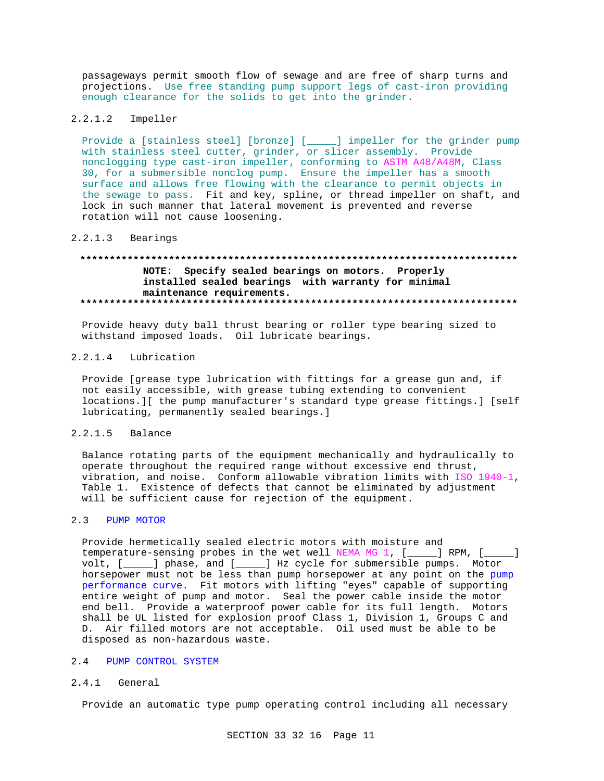passageways permit smooth flow of sewage and are free of sharp turns and projections. Use free standing pump support legs of cast-iron providing enough clearance for the solids to get into the grinder.

### $2.2.1.2$ Impeller

Provide a [stainless steel] [bronze] [\_\_\_\_] impeller for the grinder pump with stainless steel cutter, grinder, or slicer assembly. Provide nonclogging type cast-iron impeller, conforming to ASTM A48/A48M, Class 30, for a submersible nonclog pump. Ensure the impeller has a smooth surface and allows free flowing with the clearance to permit objects in the sewage to pass. Fit and key, spline, or thread impeller on shaft, and lock in such manner that lateral movement is prevented and reverse rotation will not cause loosening.

### $2.2.1.3$ Bearings

# NOTE: Specify sealed bearings on motors. Properly installed sealed bearings with warranty for minimal maintenance requirements.

Provide heavy duty ball thrust bearing or roller type bearing sized to withstand imposed loads. Oil lubricate bearings.

### $2.2.1.4$ Lubrication

Provide [grease type lubrication with fittings for a grease gun and, if not easily accessible, with grease tubing extending to convenient locations. I [the pump manufacturer's standard type grease fittings. ] [self lubricating, permanently sealed bearings.]

#### $2.2.1.5$ Balance

Balance rotating parts of the equipment mechanically and hydraulically to operate throughout the required range without excessive end thrust, vibration, and noise. Conform allowable vibration limits with ISO 1940-1, Table 1. Existence of defects that cannot be eliminated by adjustment will be sufficient cause for rejection of the equipment.

#### $2.3$ PUMP MOTOR

Provide hermetically sealed electric motors with moisture and temperature-sensing probes in the wet well NEMA MG 1, [\_\_\_\_] RPM, [\_\_  $\blacksquare$ volt, [\_\_\_\_\_] phase, and [\_\_\_\_\_] Hz cycle for submersible pumps. Motor horsepower must not be less than pump horsepower at any point on the pump performance curve. Fit motors with lifting "eyes" capable of supporting entire weight of pump and motor. Seal the power cable inside the motor end bell. Provide a waterproof power cable for its full length. Motors shall be UL listed for explosion proof Class 1, Division 1, Groups C and D. Air filled motors are not acceptable. Oil used must be able to be disposed as non-hazardous waste.

# 2.4 PUMP CONTROL SYSTEM

### $2.4.1$ General

Provide an automatic type pump operating control including all necessary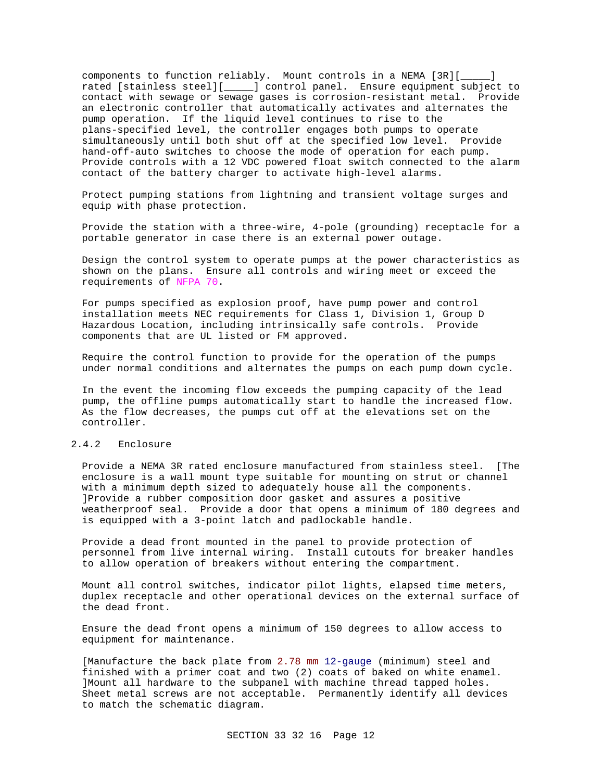components to function reliably. Mount controls in a NEMA [3R][\_\_\_\_\_] rated [stainless steel][\_\_\_\_\_] control panel. Ensure equipment subject to contact with sewage or sewage gases is corrosion-resistant metal. Provide an electronic controller that automatically activates and alternates the pump operation. If the liquid level continues to rise to the plans-specified level, the controller engages both pumps to operate simultaneously until both shut off at the specified low level. Provide hand-off-auto switches to choose the mode of operation for each pump. Provide controls with a 12 VDC powered float switch connected to the alarm contact of the battery charger to activate high-level alarms.

Protect pumping stations from lightning and transient voltage surges and equip with phase protection.

Provide the station with a three-wire, 4-pole (grounding) receptacle for a portable generator in case there is an external power outage.

Design the control system to operate pumps at the power characteristics as shown on the plans. Ensure all controls and wiring meet or exceed the requirements of NFPA 70.

For pumps specified as explosion proof, have pump power and control installation meets NEC requirements for Class 1, Division 1, Group D Hazardous Location, including intrinsically safe controls. Provide components that are UL listed or FM approved.

Require the control function to provide for the operation of the pumps under normal conditions and alternates the pumps on each pump down cycle.

In the event the incoming flow exceeds the pumping capacity of the lead pump, the offline pumps automatically start to handle the increased flow. As the flow decreases, the pumps cut off at the elevations set on the controller.

# 2.4.2 Enclosure

Provide a NEMA 3R rated enclosure manufactured from stainless steel. [The enclosure is a wall mount type suitable for mounting on strut or channel with a minimum depth sized to adequately house all the components. ]Provide a rubber composition door gasket and assures a positive weatherproof seal. Provide a door that opens a minimum of 180 degrees and is equipped with a 3-point latch and padlockable handle.

Provide a dead front mounted in the panel to provide protection of personnel from live internal wiring. Install cutouts for breaker handles to allow operation of breakers without entering the compartment.

Mount all control switches, indicator pilot lights, elapsed time meters, duplex receptacle and other operational devices on the external surface of the dead front.

Ensure the dead front opens a minimum of 150 degrees to allow access to equipment for maintenance.

[Manufacture the back plate from 2.78 mm 12-gauge (minimum) steel and finished with a primer coat and two (2) coats of baked on white enamel. ]Mount all hardware to the subpanel with machine thread tapped holes. Sheet metal screws are not acceptable. Permanently identify all devices to match the schematic diagram.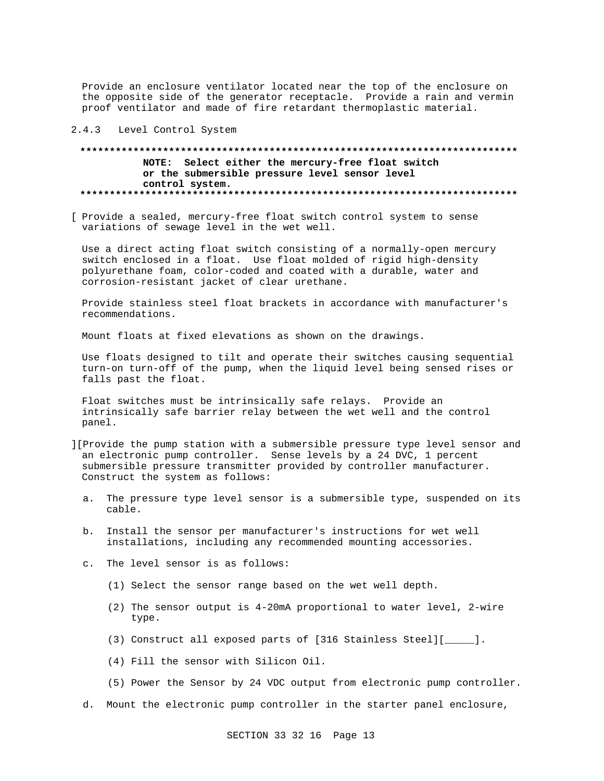Provide an enclosure ventilator located near the top of the enclosure on the opposite side of the generator receptacle. Provide a rain and vermin proof ventilator and made of fire retardant thermoplastic material.

# 2.4.3 Level Control System

# **\*\*\*\*\*\*\*\*\*\*\*\*\*\*\*\*\*\*\*\*\*\*\*\*\*\*\*\*\*\*\*\*\*\*\*\*\*\*\*\*\*\*\*\*\*\*\*\*\*\*\*\*\*\*\*\*\*\*\*\*\*\*\*\*\*\*\*\*\*\*\*\*\*\* NOTE: Select either the mercury-free float switch or the submersible pressure level sensor level control system. \*\*\*\*\*\*\*\*\*\*\*\*\*\*\*\*\*\*\*\*\*\*\*\*\*\*\*\*\*\*\*\*\*\*\*\*\*\*\*\*\*\*\*\*\*\*\*\*\*\*\*\*\*\*\*\*\*\*\*\*\*\*\*\*\*\*\*\*\*\*\*\*\*\***

[ Provide a sealed, mercury-free float switch control system to sense variations of sewage level in the wet well.

Use a direct acting float switch consisting of a normally-open mercury switch enclosed in a float. Use float molded of rigid high-density polyurethane foam, color-coded and coated with a durable, water and corrosion-resistant jacket of clear urethane.

Provide stainless steel float brackets in accordance with manufacturer's recommendations.

Mount floats at fixed elevations as shown on the drawings.

Use floats designed to tilt and operate their switches causing sequential turn-on turn-off of the pump, when the liquid level being sensed rises or falls past the float.

Float switches must be intrinsically safe relays. Provide an intrinsically safe barrier relay between the wet well and the control panel.

- ][Provide the pump station with a submersible pressure type level sensor and an electronic pump controller. Sense levels by a 24 DVC, 1 percent submersible pressure transmitter provided by controller manufacturer. Construct the system as follows:
	- a. The pressure type level sensor is a submersible type, suspended on its cable.
	- b. Install the sensor per manufacturer's instructions for wet well installations, including any recommended mounting accessories.
	- c. The level sensor is as follows:
		- (1) Select the sensor range based on the wet well depth.
		- (2) The sensor output is 4-20mA proportional to water level, 2-wire type.
		- (3) Construct all exposed parts of [316 Stainless Steel][\_\_\_\_\_].
		- (4) Fill the sensor with Silicon Oil.
		- (5) Power the Sensor by 24 VDC output from electronic pump controller.
	- d. Mount the electronic pump controller in the starter panel enclosure,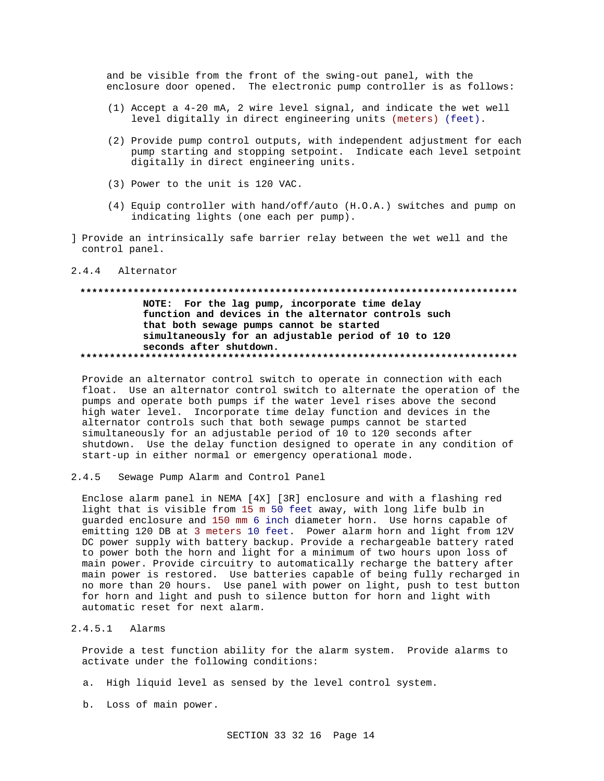and be visible from the front of the swing-out panel, with the enclosure door opened. The electronic pump controller is as follows:

- (1) Accept a 4-20 mA, 2 wire level signal, and indicate the wet well level digitally in direct engineering units (meters) (feet).
- (2) Provide pump control outputs, with independent adjustment for each pump starting and stopping setpoint. Indicate each level setpoint digitally in direct engineering units.
- (3) Power to the unit is 120 VAC.
- (4) Equip controller with hand/off/auto (H.O.A.) switches and pump on indicating lights (one each per pump).
- ] Provide an intrinsically safe barrier relay between the wet well and the control panel.

#### $2, 4, 4$ Alternator

# NOTE: For the lag pump, incorporate time delay function and devices in the alternator controls such that both sewage pumps cannot be started simultaneously for an adjustable period of 10 to 120 seconds after shutdown.

Provide an alternator control switch to operate in connection with each float. Use an alternator control switch to alternate the operation of the pumps and operate both pumps if the water level rises above the second high water level. Incorporate time delay function and devices in the alternator controls such that both sewage pumps cannot be started simultaneously for an adjustable period of 10 to 120 seconds after shutdown. Use the delay function designed to operate in any condition of start-up in either normal or emergency operational mode.

 $2.4.5$ Sewage Pump Alarm and Control Panel

Enclose alarm panel in NEMA [4X] [3R] enclosure and with a flashing red light that is visible from 15 m 50 feet away, with long life bulb in guarded enclosure and 150 mm 6 inch diameter horn. Use horns capable of emitting 120 DB at 3 meters 10 feet. Power alarm horn and light from 12V DC power supply with battery backup. Provide a rechargeable battery rated to power both the horn and light for a minimum of two hours upon loss of main power. Provide circuitry to automatically recharge the battery after main power is restored. Use batteries capable of being fully recharged in no more than 20 hours. Use panel with power on light, push to test button for horn and light and push to silence button for horn and light with automatic reset for next alarm.

# $2.4.5.1$  Alarms

Provide a test function ability for the alarm system. Provide alarms to activate under the following conditions:

- a. High liquid level as sensed by the level control system.
- b. Loss of main power.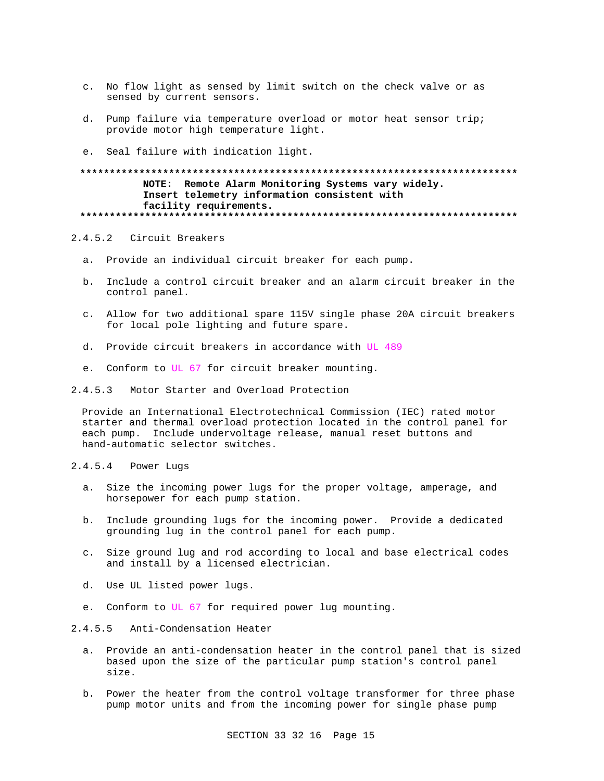- c. No flow light as sensed by limit switch on the check valve or as sensed by current sensors.
- d. Pump failure via temperature overload or motor heat sensor trip; provide motor high temperature light.
- e. Seal failure with indication light.

# **\*\*\*\*\*\*\*\*\*\*\*\*\*\*\*\*\*\*\*\*\*\*\*\*\*\*\*\*\*\*\*\*\*\*\*\*\*\*\*\*\*\*\*\*\*\*\*\*\*\*\*\*\*\*\*\*\*\*\*\*\*\*\*\*\*\*\*\*\*\*\*\*\*\* NOTE: Remote Alarm Monitoring Systems vary widely. Insert telemetry information consistent with facility requirements. \*\*\*\*\*\*\*\*\*\*\*\*\*\*\*\*\*\*\*\*\*\*\*\*\*\*\*\*\*\*\*\*\*\*\*\*\*\*\*\*\*\*\*\*\*\*\*\*\*\*\*\*\*\*\*\*\*\*\*\*\*\*\*\*\*\*\*\*\*\*\*\*\*\***

# 2.4.5.2 Circuit Breakers

- a. Provide an individual circuit breaker for each pump.
- b. Include a control circuit breaker and an alarm circuit breaker in the control panel.
- c. Allow for two additional spare 115V single phase 20A circuit breakers for local pole lighting and future spare.
- d. Provide circuit breakers in accordance with UL 489
- e. Conform to UL 67 for circuit breaker mounting.
- 2.4.5.3 Motor Starter and Overload Protection

Provide an International Electrotechnical Commission (IEC) rated motor starter and thermal overload protection located in the control panel for each pump. Include undervoltage release, manual reset buttons and hand-automatic selector switches.

- 2.4.5.4 Power Lugs
	- a. Size the incoming power lugs for the proper voltage, amperage, and horsepower for each pump station.
	- b. Include grounding lugs for the incoming power. Provide a dedicated grounding lug in the control panel for each pump.
	- c. Size ground lug and rod according to local and base electrical codes and install by a licensed electrician.
	- d. Use UL listed power lugs.
	- e. Conform to UL 67 for required power lug mounting.

# 2.4.5.5 Anti-Condensation Heater

- a. Provide an anti-condensation heater in the control panel that is sized based upon the size of the particular pump station's control panel size.
- b. Power the heater from the control voltage transformer for three phase pump motor units and from the incoming power for single phase pump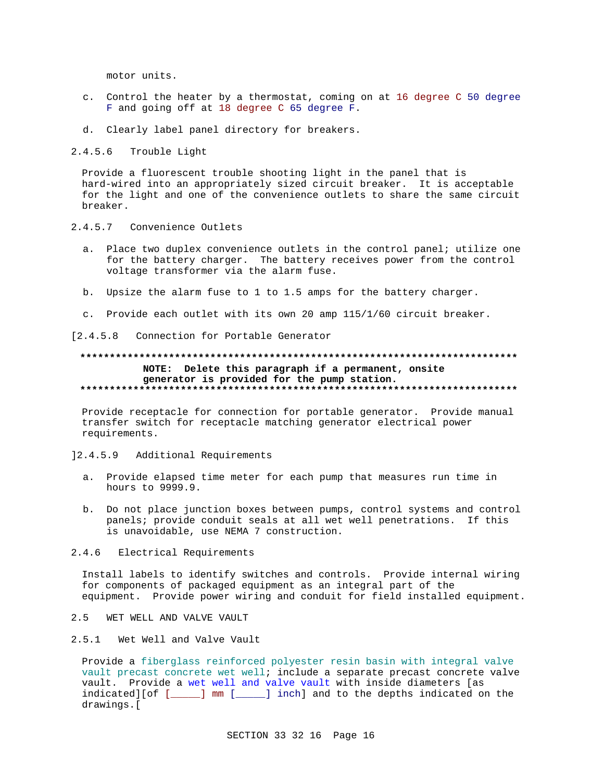motor units.

- c. Control the heater by a thermostat, coming on at 16 degree C 50 degree F and going off at 18 degree C 65 degree F.
- d. Clearly label panel directory for breakers.

 $2.4.5.6$ Trouble Light

Provide a fluorescent trouble shooting light in the panel that is hard-wired into an appropriately sized circuit breaker. It is acceptable for the light and one of the convenience outlets to share the same circuit breaker.

- 2.4.5.7 Convenience Outlets
	- a. Place two duplex convenience outlets in the control panel; utilize one for the battery charger. The battery receives power from the control voltage transformer via the alarm fuse.
	- b. Upsize the alarm fuse to 1 to 1.5 amps for the battery charger.
	- c. Provide each outlet with its own 20 amp 115/1/60 circuit breaker.

[2.4.5.8 Connection for Portable Generator

# NOTE: Delete this paragraph if a permanent, onsite generator is provided for the pump station.

Provide receptacle for connection for portable generator. Provide manual transfer switch for receptacle matching generator electrical power requirements.

#### $] 2.4.5.9$ Additional Requirements

- a. Provide elapsed time meter for each pump that measures run time in hours to 9999.9.
- b. Do not place junction boxes between pumps, control systems and control panels; provide conduit seals at all wet well penetrations. If this is unavoidable, use NEMA 7 construction.
- $2.4.6$ Electrical Requirements

Install labels to identify switches and controls. Provide internal wiring for components of packaged equipment as an integral part of the equipment. Provide power wiring and conduit for field installed equipment.

- $2.5$ WET WELL AND VALVE VAULT
- 2.5.1 Wet Well and Valve Vault

Provide a fiberglass reinforced polyester resin basin with integral valve vault precast concrete wet well; include a separate precast concrete valve vault. Provide a wet well and valve vault with inside diameters [as indicated][of [\_\_\_\_\_] mm [\_\_\_\_\_] inch] and to the depths indicated on the drawings.[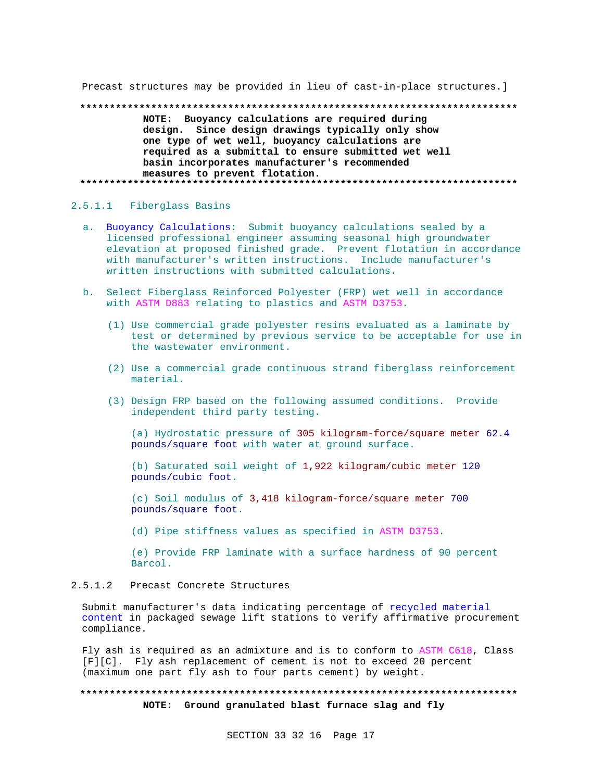Precast structures may be provided in lieu of cast-in-place structures.]

NOTE: Buoyancy calculations are required during design. Since design drawings typically only show one type of wet well, buoyancy calculations are required as a submittal to ensure submitted wet well basin incorporates manufacturer's recommended measures to prevent flotation. 

# 2.5.1.1 Fiberglass Basins

- a. Buoyancy Calculations: Submit buoyancy calculations sealed by a licensed professional engineer assuming seasonal high groundwater elevation at proposed finished grade. Prevent flotation in accordance with manufacturer's written instructions. Include manufacturer's written instructions with submitted calculations.
- b. Select Fiberglass Reinforced Polyester (FRP) wet well in accordance with ASTM D883 relating to plastics and ASTM D3753.
	- (1) Use commercial grade polyester resins evaluated as a laminate by test or determined by previous service to be acceptable for use in the wastewater environment.
	- (2) Use a commercial grade continuous strand fiberglass reinforcement material.
	- (3) Design FRP based on the following assumed conditions. Provide independent third party testing.

(a) Hydrostatic pressure of 305 kilogram-force/square meter 62.4 pounds/square foot with water at ground surface.

(b) Saturated soil weight of 1,922 kilogram/cubic meter 120 pounds/cubic foot.

(c) Soil modulus of 3,418 kilogram-force/square meter 700 pounds/square foot.

(d) Pipe stiffness values as specified in ASTM D3753.

(e) Provide FRP laminate with a surface hardness of 90 percent Barcol.

### $2.5.1.2$ Precast Concrete Structures

Submit manufacturer's data indicating percentage of recycled material content in packaged sewage lift stations to verify affirmative procurement compliance.

Fly ash is required as an admixture and is to conform to ASTM C618, Class [F][C]. Fly ash replacement of cement is not to exceed 20 percent (maximum one part fly ash to four parts cement) by weight.

# NOTE: Ground granulated blast furnace slag and fly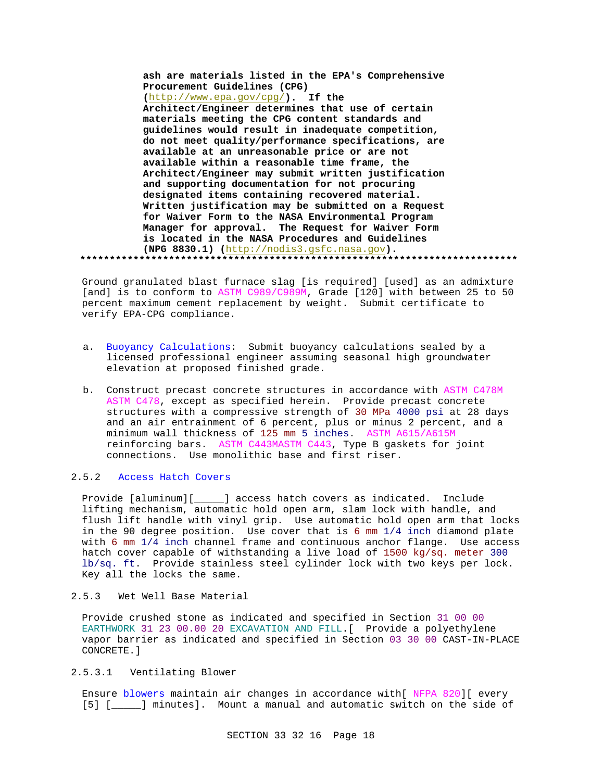**ash are materials listed in the EPA's Comprehensive Procurement Guidelines (CPG) (**http://www.epa.gov/cpg/**). If the Architect/Engineer determines that use of certain materials meeting the CPG content standards and guidelines would result in inadequate competition, do not meet quality/performance specifications, are available at an unreasonable price or are not available within a reasonable time frame, the Architect/Engineer may submit written justification and supporting documentation for not procuring designated items containing recovered material. Written justification may be submitted on a Request for Waiver Form to the NASA Environmental Program Manager for approval. The Request for Waiver Form is located in the NASA Procedures and Guidelines (NPG 8830.1) (**http://nodis3.gsfc.nasa.gov**). \*\*\*\*\*\*\*\*\*\*\*\*\*\*\*\*\*\*\*\*\*\*\*\*\*\*\*\*\*\*\*\*\*\*\*\*\*\*\*\*\*\*\*\*\*\*\*\*\*\*\*\*\*\*\*\*\*\*\*\*\*\*\*\*\*\*\*\*\*\*\*\*\*\***

Ground granulated blast furnace slag [is required] [used] as an admixture [and] is to conform to ASTM C989/C989M, Grade [120] with between 25 to 50 percent maximum cement replacement by weight. Submit certificate to verify EPA-CPG compliance.

- a. Buoyancy Calculations: Submit buoyancy calculations sealed by a licensed professional engineer assuming seasonal high groundwater elevation at proposed finished grade.
- b. Construct precast concrete structures in accordance with ASTM C478M ASTM C478, except as specified herein. Provide precast concrete structures with a compressive strength of 30 MPa 4000 psi at 28 days and an air entrainment of 6 percent, plus or minus 2 percent, and a minimum wall thickness of 125 mm 5 inches. ASTM A615/A615M reinforcing bars. ASTM C443MASTM C443, Type B gaskets for joint connections. Use monolithic base and first riser.

# 2.5.2 Access Hatch Covers

Provide [aluminum][\_\_\_\_\_] access hatch covers as indicated. Include lifting mechanism, automatic hold open arm, slam lock with handle, and flush lift handle with vinyl grip. Use automatic hold open arm that locks in the 90 degree position. Use cover that is 6 mm 1/4 inch diamond plate with 6 mm 1/4 inch channel frame and continuous anchor flange. Use access hatch cover capable of withstanding a live load of 1500 kg/sq. meter 300 lb/sq. ft. Provide stainless steel cylinder lock with two keys per lock. Key all the locks the same.

2.5.3 Wet Well Base Material

Provide crushed stone as indicated and specified in Section 31 00 00 EARTHWORK 31 23 00.00 20 EXCAVATION AND FILL.[ Provide a polyethylene vapor barrier as indicated and specified in Section 03 30 00 CAST-IN-PLACE CONCRETE.]

# 2.5.3.1 Ventilating Blower

Ensure blowers maintain air changes in accordance with[ NFPA 820][ every [5] [\_\_\_\_\_] minutes]. Mount a manual and automatic switch on the side of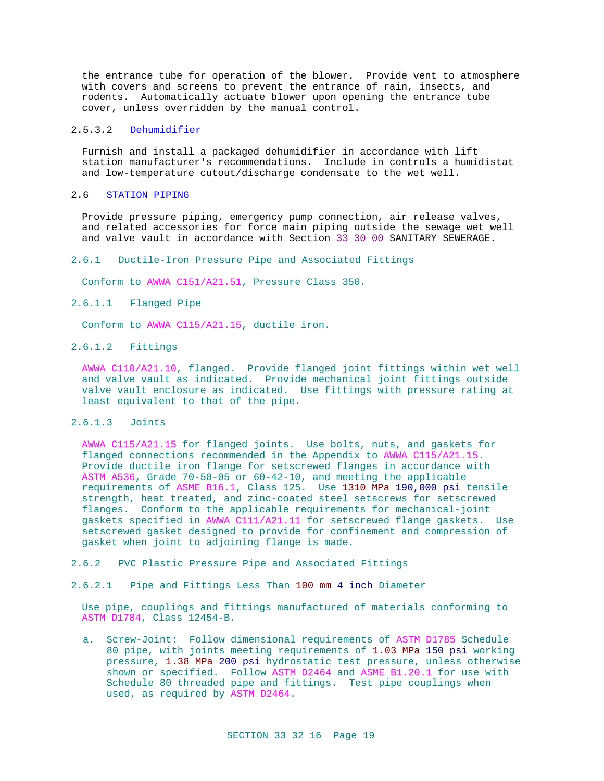the entrance tube for operation of the blower. Provide vent to atmosphere with covers and screens to prevent the entrance of rain, insects, and rodents. Automatically actuate blower upon opening the entrance tube cover, unless overridden by the manual control.

# 2.5.3.2 Dehumidifier

Furnish and install a packaged dehumidifier in accordance with lift station manufacturer's recommendations. Include in controls a humidistat and low-temperature cutout/discharge condensate to the wet well.

# 2.6 STATION PIPING

Provide pressure piping, emergency pump connection, air release valves, and related accessories for force main piping outside the sewage wet well and valve vault in accordance with Section 33 30 00 SANITARY SEWERAGE.

# 2.6.1 Ductile-Iron Pressure Pipe and Associated Fittings

Conform to AWWA C151/A21.51, Pressure Class 350.

# 2.6.1.1 Flanged Pipe

Conform to AWWA C115/A21.15, ductile iron.

# 2.6.1.2 Fittings

AWWA C110/A21.10, flanged. Provide flanged joint fittings within wet well and valve vault as indicated. Provide mechanical joint fittings outside valve vault enclosure as indicated. Use fittings with pressure rating at least equivalent to that of the pipe.

# 2.6.1.3 Joints

AWWA C115/A21.15 for flanged joints. Use bolts, nuts, and gaskets for flanged connections recommended in the Appendix to AWWA C115/A21.15. Provide ductile iron flange for setscrewed flanges in accordance with ASTM A536, Grade 70-50-05 or 60-42-10, and meeting the applicable requirements of ASME B16.1, Class 125. Use 1310 MPa 190,000 psi tensile strength, heat treated, and zinc-coated steel setscrews for setscrewed flanges. Conform to the applicable requirements for mechanical-joint gaskets specified in AWWA C111/A21.11 for setscrewed flange gaskets. Use setscrewed gasket designed to provide for confinement and compression of gasket when joint to adjoining flange is made.

- 2.6.2 PVC Plastic Pressure Pipe and Associated Fittings
- 2.6.2.1 Pipe and Fittings Less Than 100 mm 4 inch Diameter

Use pipe, couplings and fittings manufactured of materials conforming to ASTM D1784, Class 12454-B.

a. Screw-Joint: Follow dimensional requirements of ASTM D1785 Schedule 80 pipe, with joints meeting requirements of 1.03 MPa 150 psi working pressure, 1.38 MPa 200 psi hydrostatic test pressure, unless otherwise shown or specified. Follow ASTM D2464 and ASME B1.20.1 for use with Schedule 80 threaded pipe and fittings. Test pipe couplings when used, as required by ASTM D2464.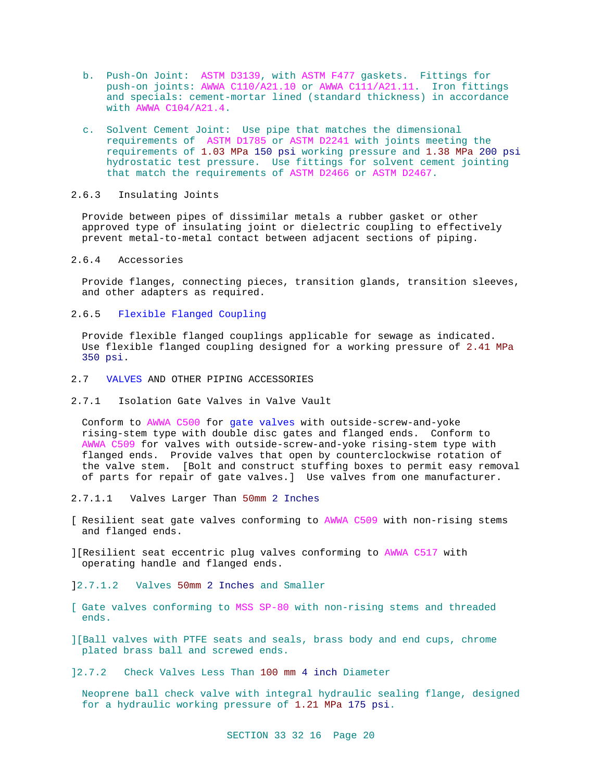- b. Push-On Joint: ASTM D3139, with ASTM F477 gaskets. Fittings for push-on joints: AWWA C110/A21.10 or AWWA C111/A21.11. Iron fittings and specials: cement-mortar lined (standard thickness) in accordance with AWWA C104/A21.4.
- c. Solvent Cement Joint: Use pipe that matches the dimensional requirements of ASTM D1785 or ASTM D2241 with joints meeting the requirements of 1.03 MPa 150 psi working pressure and 1.38 MPa 200 psi hydrostatic test pressure. Use fittings for solvent cement jointing that match the requirements of ASTM D2466 or ASTM D2467.

# 2.6.3 Insulating Joints

Provide between pipes of dissimilar metals a rubber gasket or other approved type of insulating joint or dielectric coupling to effectively prevent metal-to-metal contact between adjacent sections of piping.

# 2.6.4 Accessories

Provide flanges, connecting pieces, transition glands, transition sleeves, and other adapters as required.

# 2.6.5 Flexible Flanged Coupling

Provide flexible flanged couplings applicable for sewage as indicated. Use flexible flanged coupling designed for a working pressure of 2.41 MPa 350 psi.

- 2.7 VALVES AND OTHER PIPING ACCESSORIES
- 2.7.1 Isolation Gate Valves in Valve Vault

Conform to AWWA C500 for gate valves with outside-screw-and-yoke rising-stem type with double disc gates and flanged ends. Conform to AWWA C509 for valves with outside-screw-and-yoke rising-stem type with flanged ends. Provide valves that open by counterclockwise rotation of the valve stem. [Bolt and construct stuffing boxes to permit easy removal of parts for repair of gate valves.] Use valves from one manufacturer.

# 2.7.1.1 Valves Larger Than 50mm 2 Inches

- [ Resilient seat gate valves conforming to AWWA C509 with non-rising stems and flanged ends.
- ][Resilient seat eccentric plug valves conforming to AWWA C517 with operating handle and flanged ends.

]2.7.1.2 Valves 50mm 2 Inches and Smaller

- [ Gate valves conforming to MSS SP-80 with non-rising stems and threaded ends.
- ][Ball valves with PTFE seats and seals, brass body and end cups, chrome plated brass ball and screwed ends.
- ]2.7.2 Check Valves Less Than 100 mm 4 inch Diameter

Neoprene ball check valve with integral hydraulic sealing flange, designed for a hydraulic working pressure of 1.21 MPa 175 psi.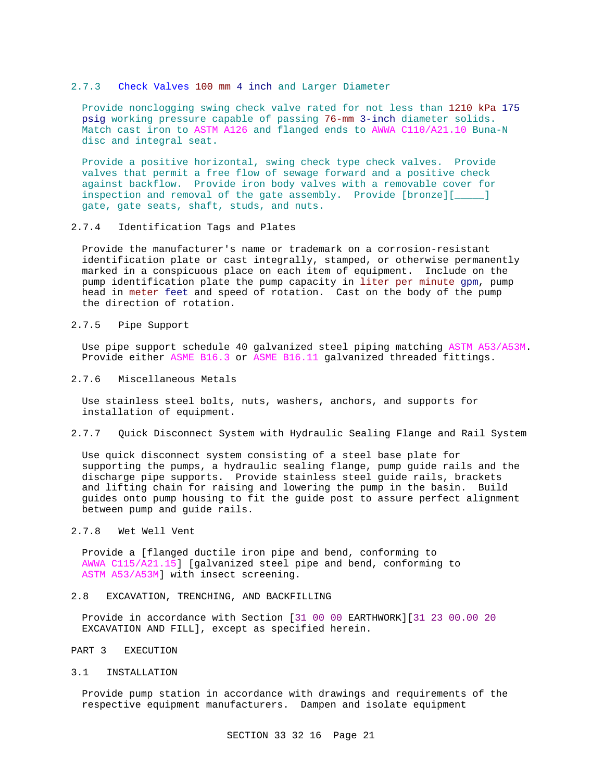## 2.7.3 Check Valves 100 mm 4 inch and Larger Diameter

Provide nonclogging swing check valve rated for not less than 1210 kPa 175 psig working pressure capable of passing 76-mm 3-inch diameter solids. Match cast iron to ASTM A126 and flanged ends to AWWA C110/A21.10 Buna-N disc and integral seat.

Provide a positive horizontal, swing check type check valves. Provide valves that permit a free flow of sewage forward and a positive check against backflow. Provide iron body valves with a removable cover for inspection and removal of the gate assembly. Provide [bronze][\_\_\_\_\_] gate, gate seats, shaft, studs, and nuts.

## 2.7.4 Identification Tags and Plates

Provide the manufacturer's name or trademark on a corrosion-resistant identification plate or cast integrally, stamped, or otherwise permanently marked in a conspicuous place on each item of equipment. Include on the pump identification plate the pump capacity in liter per minute gpm, pump head in meter feet and speed of rotation. Cast on the body of the pump the direction of rotation.

# 2.7.5 Pipe Support

Use pipe support schedule 40 galvanized steel piping matching ASTM A53/A53M. Provide either ASME B16.3 or ASME B16.11 galvanized threaded fittings.

2.7.6 Miscellaneous Metals

Use stainless steel bolts, nuts, washers, anchors, and supports for installation of equipment.

2.7.7 Quick Disconnect System with Hydraulic Sealing Flange and Rail System

Use quick disconnect system consisting of a steel base plate for supporting the pumps, a hydraulic sealing flange, pump guide rails and the discharge pipe supports. Provide stainless steel guide rails, brackets and lifting chain for raising and lowering the pump in the basin. Build guides onto pump housing to fit the guide post to assure perfect alignment between pump and guide rails.

2.7.8 Wet Well Vent

Provide a [flanged ductile iron pipe and bend, conforming to AWWA C115/A21.15] [galvanized steel pipe and bend, conforming to ASTM A53/A53M] with insect screening.

2.8 EXCAVATION, TRENCHING, AND BACKFILLING

Provide in accordance with Section [31 00 00 EARTHWORK][31 23 00.00 20 EXCAVATION AND FILL], except as specified herein.

- PART 3 EXECUTION
- 3.1 INSTALLATION

Provide pump station in accordance with drawings and requirements of the respective equipment manufacturers. Dampen and isolate equipment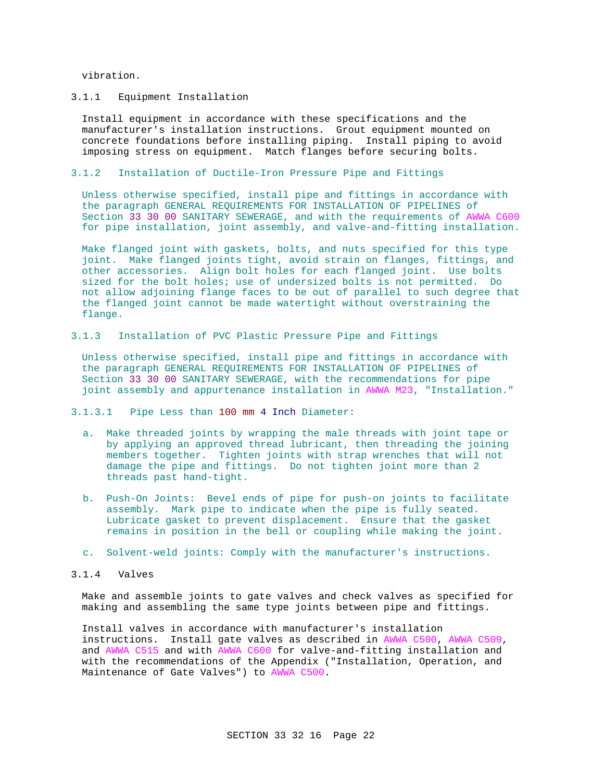vibration.

# 3.1.1 Equipment Installation

Install equipment in accordance with these specifications and the manufacturer's installation instructions. Grout equipment mounted on concrete foundations before installing piping. Install piping to avoid imposing stress on equipment. Match flanges before securing bolts.

# 3.1.2 Installation of Ductile-Iron Pressure Pipe and Fittings

Unless otherwise specified, install pipe and fittings in accordance with the paragraph GENERAL REQUIREMENTS FOR INSTALLATION OF PIPELINES of Section 33 30 00 SANITARY SEWERAGE, and with the requirements of AWWA C600 for pipe installation, joint assembly, and valve-and-fitting installation.

Make flanged joint with gaskets, bolts, and nuts specified for this type joint. Make flanged joints tight, avoid strain on flanges, fittings, and other accessories. Align bolt holes for each flanged joint. Use bolts sized for the bolt holes; use of undersized bolts is not permitted. Do not allow adjoining flange faces to be out of parallel to such degree that the flanged joint cannot be made watertight without overstraining the flange.

3.1.3 Installation of PVC Plastic Pressure Pipe and Fittings

Unless otherwise specified, install pipe and fittings in accordance with the paragraph GENERAL REQUIREMENTS FOR INSTALLATION OF PIPELINES of Section 33 30 00 SANITARY SEWERAGE, with the recommendations for pipe joint assembly and appurtenance installation in AWWA M23, "Installation."

3.1.3.1 Pipe Less than 100 mm 4 Inch Diameter:

- a. Make threaded joints by wrapping the male threads with joint tape or by applying an approved thread lubricant, then threading the joining members together. Tighten joints with strap wrenches that will not damage the pipe and fittings. Do not tighten joint more than 2 threads past hand-tight.
- b. Push-On Joints: Bevel ends of pipe for push-on joints to facilitate assembly. Mark pipe to indicate when the pipe is fully seated. Lubricate gasket to prevent displacement. Ensure that the gasket remains in position in the bell or coupling while making the joint.
- c. Solvent-weld joints: Comply with the manufacturer's instructions.
- 3.1.4 Valves

Make and assemble joints to gate valves and check valves as specified for making and assembling the same type joints between pipe and fittings.

Install valves in accordance with manufacturer's installation instructions. Install gate valves as described in AWWA C500, AWWA C509, and AWWA C515 and with AWWA C600 for valve-and-fitting installation and with the recommendations of the Appendix ("Installation, Operation, and Maintenance of Gate Valves") to AWWA C500.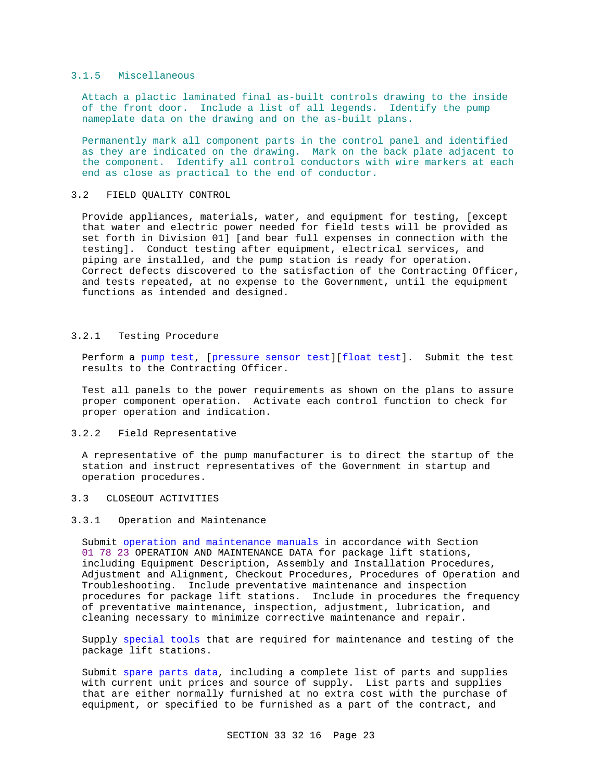# 3.1.5 Miscellaneous

Attach a plactic laminated final as-built controls drawing to the inside of the front door. Include a list of all legends. Identify the pump nameplate data on the drawing and on the as-built plans.

Permanently mark all component parts in the control panel and identified as they are indicated on the drawing. Mark on the back plate adjacent to the component. Identify all control conductors with wire markers at each end as close as practical to the end of conductor.

# 3.2 FIELD QUALITY CONTROL

Provide appliances, materials, water, and equipment for testing, [except that water and electric power needed for field tests will be provided as set forth in Division 01] [and bear full expenses in connection with the testing]. Conduct testing after equipment, electrical services, and piping are installed, and the pump station is ready for operation. Correct defects discovered to the satisfaction of the Contracting Officer, and tests repeated, at no expense to the Government, until the equipment functions as intended and designed.

# 3.2.1 Testing Procedure

Perform a pump test, [pressure sensor test][float test]. Submit the test results to the Contracting Officer.

Test all panels to the power requirements as shown on the plans to assure proper component operation. Activate each control function to check for proper operation and indication.

# 3.2.2 Field Representative

A representative of the pump manufacturer is to direct the startup of the station and instruct representatives of the Government in startup and operation procedures.

# 3.3 CLOSEOUT ACTIVITIES

# 3.3.1 Operation and Maintenance

Submit operation and maintenance manuals in accordance with Section 01 78 23 OPERATION AND MAINTENANCE DATA for package lift stations, including Equipment Description, Assembly and Installation Procedures, Adjustment and Alignment, Checkout Procedures, Procedures of Operation and Troubleshooting. Include preventative maintenance and inspection procedures for package lift stations. Include in procedures the frequency of preventative maintenance, inspection, adjustment, lubrication, and cleaning necessary to minimize corrective maintenance and repair.

Supply special tools that are required for maintenance and testing of the package lift stations.

Submit spare parts data, including a complete list of parts and supplies with current unit prices and source of supply. List parts and supplies that are either normally furnished at no extra cost with the purchase of equipment, or specified to be furnished as a part of the contract, and